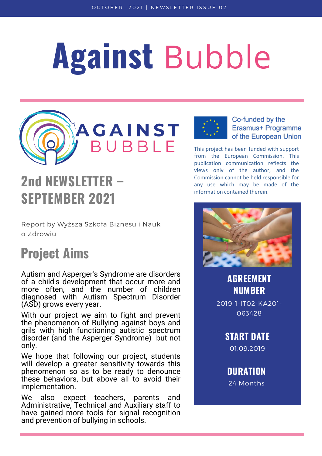# Against Bubble



# 2nd NEWSLETTER – SEPTEMBER 2021

Report by Wyższa Szkoła Biznesu i Nauk o Zdrowiu

### Project Aims

Autism and Asperger's Syndrome are disorders of a child's development that occur more and more often, and the number of children diagnosed with Autism Spectrum Disorder (ASD) grows every year.

With our project we aim to fight and prevent the phenomenon of Bullying against boys and grils with high functioning autistic spectrum disorder (and the Asperger Syndrome) but not only.

We hope that following our project, students will develop a greater sensitivity towards this phenomenon so as to be ready to denounce these behaviors, but above all to avoid their implementation.

We also expect teachers, parents and Administrative, Technical and Auxiliary staff to have gained more tools for signal recognition and prevention of bullying in schools.



Co-funded by the Erasmus+ Programme of the European Union

This project has been funded with support from the European Commission. This publication communication reflects the views only of the author, and the Commission cannot be held responsible for any use which may be made of the information contained therein.



AGREEMENT NUMBER

2019-1-IT02-KA201- 063428

START DATE

01.09.2019

DURATION 24 Months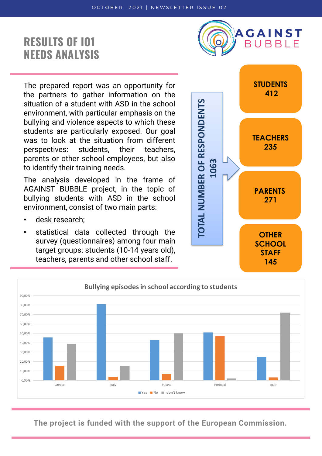#### RESULTS OF IO1 NEEDS ANALYSIS



The prepared report was an opportunity for the partners to gather information on the situation of a student with ASD in the school environment, with particular emphasis on the bullying and violence aspects to which these students are particularly exposed. Our goal was to look at the situation from different perspectives: students, their teachers, parents or other school employees, but also to identify their training needs.

The analysis developed in the frame of AGAINST BUBBLE project, in the topic of bullying students with ASD in the school environment, consist of two main parts:

- desk research;
- statistical data collected through the survey (questionnaires) among four main target groups: students (10-14 years old), teachers, parents and other school staff.





**The project is funded with the support of the European Commission.**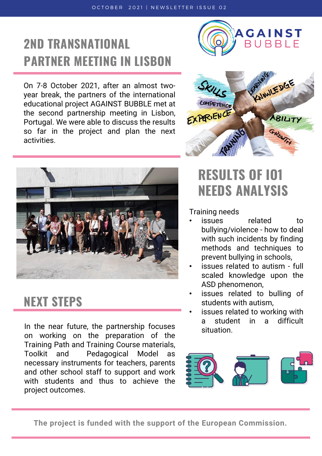## 2ND TRANSNATIONAL PARTNER MEETING IN LISBON

On 7-8 October 2021, after an almost twoyear break, the partners of the international educational project AGAINST BUBBLE met at the second partnership meeting in Lisbon, Portugal. We were able to discuss the results so far in the project and plan the next activities.







#### NEXT STEPS

In the near future, the partnership focuses on working on the preparation of the Training Path and Training Course materials, Toolkit and Pedagogical Model as necessary instruments for teachers, parents and other school staff to support and work with students and thus to achieve the project outcomes.

#### RESULTS OF IO1 NEEDS ANALYSIS

Training needs

- issues related to bullying/violence - how to deal with such incidents by finding methods and techniques to prevent bullying in schools,
- issues related to autism full scaled knowledge upon the ASD phenomenon,
- issues related to bulling of students with autism,
- issues related to working with a student in a difficult situation.



**The project is funded with the support of the European Commission.**